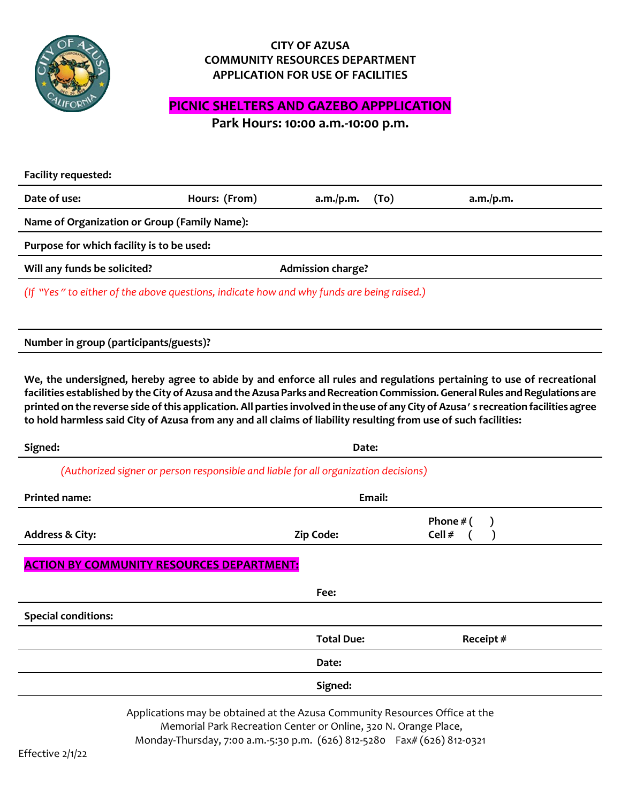

### **CITY OF AZUSA COMMUNITY RESOURCES DEPARTMENT APPLICATION FOR USE OF FACILITIES**

# **PICNIC SHELTERS AND GAZEBO APPPLICATION**

**Park Hours: 10:00 a.m.-10:00 p.m.**

| <b>Facility requested:</b>                                                                                                                                                                                                                                                                                                                                                                                                                                                                                      |                                                                                                                                                |                          |      |                       |  |
|-----------------------------------------------------------------------------------------------------------------------------------------------------------------------------------------------------------------------------------------------------------------------------------------------------------------------------------------------------------------------------------------------------------------------------------------------------------------------------------------------------------------|------------------------------------------------------------------------------------------------------------------------------------------------|--------------------------|------|-----------------------|--|
| Date of use:                                                                                                                                                                                                                                                                                                                                                                                                                                                                                                    | Hours: (From)                                                                                                                                  | a.m./p.m.                | (To) | a.m./p.m.             |  |
| Name of Organization or Group (Family Name):                                                                                                                                                                                                                                                                                                                                                                                                                                                                    |                                                                                                                                                |                          |      |                       |  |
| Purpose for which facility is to be used:                                                                                                                                                                                                                                                                                                                                                                                                                                                                       |                                                                                                                                                |                          |      |                       |  |
| Will any funds be solicited?                                                                                                                                                                                                                                                                                                                                                                                                                                                                                    |                                                                                                                                                | <b>Admission charge?</b> |      |                       |  |
| (If "Yes" to either of the above questions, indicate how and why funds are being raised.)                                                                                                                                                                                                                                                                                                                                                                                                                       |                                                                                                                                                |                          |      |                       |  |
|                                                                                                                                                                                                                                                                                                                                                                                                                                                                                                                 |                                                                                                                                                |                          |      |                       |  |
| Number in group (participants/guests)?                                                                                                                                                                                                                                                                                                                                                                                                                                                                          |                                                                                                                                                |                          |      |                       |  |
| We, the undersigned, hereby agree to abide by and enforce all rules and regulations pertaining to use of recreational<br>facilities established by the City of Azusa and the Azusa Parks and Recreation Commission. General Rules and Regulations are<br>printed on the reverse side of this application. All parties involved in the use of any City of Azusa's recreation facilities agree<br>to hold harmless said City of Azusa from any and all claims of liability resulting from use of such facilities: |                                                                                                                                                |                          |      |                       |  |
| Signed:                                                                                                                                                                                                                                                                                                                                                                                                                                                                                                         |                                                                                                                                                | Date:                    |      |                       |  |
| (Authorized signer or person responsible and liable for all organization decisions)                                                                                                                                                                                                                                                                                                                                                                                                                             |                                                                                                                                                |                          |      |                       |  |
| <b>Printed name:</b>                                                                                                                                                                                                                                                                                                                                                                                                                                                                                            |                                                                                                                                                | <b>Email:</b>            |      |                       |  |
| <b>Address &amp; City:</b>                                                                                                                                                                                                                                                                                                                                                                                                                                                                                      |                                                                                                                                                | Zip Code:                |      | Phone $#$ (<br>Cell # |  |
| <b>ACTION BY COMMUNITY RESOURCES DEPARTMENT:</b>                                                                                                                                                                                                                                                                                                                                                                                                                                                                |                                                                                                                                                |                          |      |                       |  |
|                                                                                                                                                                                                                                                                                                                                                                                                                                                                                                                 |                                                                                                                                                | Fee:                     |      |                       |  |
| <b>Special conditions:</b>                                                                                                                                                                                                                                                                                                                                                                                                                                                                                      |                                                                                                                                                |                          |      |                       |  |
|                                                                                                                                                                                                                                                                                                                                                                                                                                                                                                                 |                                                                                                                                                | <b>Total Due:</b>        |      | Receipt #             |  |
|                                                                                                                                                                                                                                                                                                                                                                                                                                                                                                                 |                                                                                                                                                | Date:                    |      |                       |  |
|                                                                                                                                                                                                                                                                                                                                                                                                                                                                                                                 |                                                                                                                                                | Signed:                  |      |                       |  |
|                                                                                                                                                                                                                                                                                                                                                                                                                                                                                                                 | Applications may be obtained at the Azusa Community Resources Office at the<br>Memorial Park Recreation Center or Online, 320 N. Orange Place, |                          |      |                       |  |

Monday-Thursday, 7:00 a.m.-5:30 p.m. (626) 812-5280 Fax# (626) 812-0321